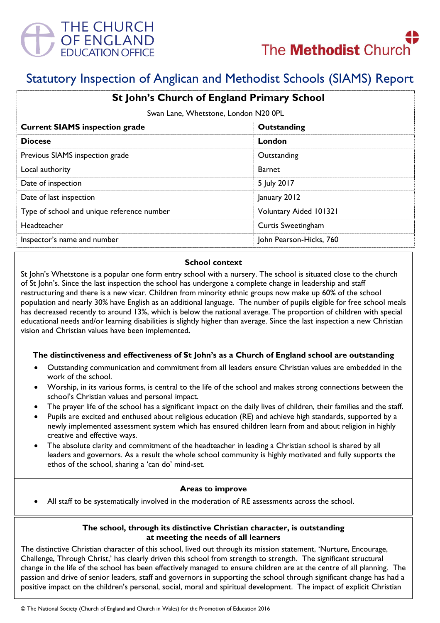



# Statutory Inspection of Anglican and Methodist Schools (SIAMS) Report

| St John's Church of England Primary School |                         |
|--------------------------------------------|-------------------------|
| Swan Lane, Whetstone, London N20 0PL       |                         |
| <b>Current SIAMS inspection grade</b>      | Outstanding             |
| <b>Diocese</b>                             | London                  |
| Previous SIAMS inspection grade            | Outstanding             |
| Local authority                            | Barnet                  |
| Date of inspection                         | 5 July 2017             |
| Date of last inspection                    | January 2012            |
| Type of school and unique reference number | Voluntary Aided 101321  |
| Headteacher                                | Curtis Sweetingham      |
| Inspector's name and number                | John Pearson-Hicks, 760 |

### **School context**

St John's Whetstone is a popular one form entry school with a nursery. The school is situated close to the church of St John's. Since the last inspection the school has undergone a complete change in leadership and staff restructuring and there is a new vicar. Children from minority ethnic groups now make up 60% of the school population and nearly 30% have English as an additional language. The number of pupils eligible for free school meals has decreased recently to around 13%, which is below the national average. The proportion of children with special educational needs and/or learning disabilities is slightly higher than average. Since the last inspection a new Christian vision and Christian values have been implemented*.*

## **The distinctiveness and effectiveness of St John's as a Church of England school are outstanding**

- Outstanding communication and commitment from all leaders ensure Christian values are embedded in the work of the school.
- Worship, in its various forms, is central to the life of the school and makes strong connections between the school's Christian values and personal impact.
- The prayer life of the school has a significant impact on the daily lives of children, their families and the staff.
- Pupils are excited and enthused about religious education (RE) and achieve high standards, supported by a newly implemented assessment system which has ensured children learn from and about religion in highly creative and effective ways.
- The absolute clarity and commitment of the headteacher in leading a Christian school is shared by all leaders and governors. As a result the whole school community is highly motivated and fully supports the ethos of the school, sharing a 'can do' mind-set.

#### **Areas to improve**

All staff to be systematically involved in the moderation of RE assessments across the school.

#### **The school, through its distinctive Christian character, is outstanding at meeting the needs of all learners**

The distinctive Christian character of this school, lived out through its mission statement, 'Nurture, Encourage, Challenge, Through Christ,' has clearly driven this school from strength to strength. The significant structural change in the life of the school has been effectively managed to ensure children are at the centre of all planning. The passion and drive of senior leaders, staff and governors in supporting the school through significant change has had a positive impact on the children's personal, social, moral and spiritual development. The impact of explicit Christian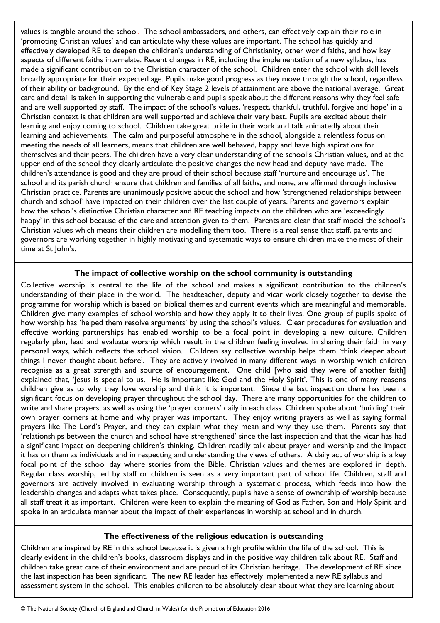values is tangible around the school. The school ambassadors, and others, can effectively explain their role in 'promoting Christian values' and can articulate why these values are important. The school has quickly and effectively developed RE to deepen the children's understanding of Christianity, other world faiths, and how key aspects of different faiths interrelate. Recent changes in RE, including the implementation of a new syllabus, has made a significant contribution to the Christian character of the school. Children enter the school with skill levels broadly appropriate for their expected age. Pupils make good progress as they move through the school, regardless of their ability or background. By the end of Key Stage 2 levels of attainment are above the national average. Great care and detail is taken in supporting the vulnerable and pupils speak about the different reasons why they feel safe and are well supported by staff. The impact of the school's values, 'respect, thankful, truthful, forgive and hope' in a Christian context is that children are well supported and achieve their very best*.* Pupils are excited about their learning and enjoy coming to school. Children take great pride in their work and talk animatedly about their learning and achievements. The calm and purposeful atmosphere in the school, alongside a relentless focus on meeting the needs of all learners, means that children are well behaved, happy and have high aspirations for themselves and their peers. The children have a very clear understanding of the school's Christian values*,* and at the upper end of the school they clearly articulate the positive changes the new head and deputy have made. The children's attendance is good and they are proud of their school because staff 'nurture and encourage us'. The school and its parish church ensure that children and families of all faiths, and none, are affirmed through inclusive Christian practice. Parents are unanimously positive about the school and how 'strengthened relationships between church and school' have impacted on their children over the last couple of years. Parents and governors explain how the school's distinctive Christian character and RE teaching impacts on the children who are 'exceedingly happy' in this school because of the care and attention given to them. Parents are clear that staff model the school's Christian values which means their children are modelling them too. There is a real sense that staff, parents and governors are working together in highly motivating and systematic ways to ensure children make the most of their time at St John's.

#### **The impact of collective worship on the school community is outstanding**

Collective worship is central to the life of the school and makes a significant contribution to the children's understanding of their place in the world. The headteacher, deputy and vicar work closely together to devise the programme for worship which is based on biblical themes and current events which are meaningful and memorable. Children give many examples of school worship and how they apply it to their lives. One group of pupils spoke of how worship has 'helped them resolve arguments' by using the school's values. Clear procedures for evaluation and effective working partnerships has enabled worship to be a focal point in developing a new culture. Children regularly plan, lead and evaluate worship which result in the children feeling involved in sharing their faith in very personal ways, which reflects the school vision. Children say collective worship helps them 'think deeper about things I never thought about before'. They are actively involved in many different ways in worship which children recognise as a great strength and source of encouragement. One child [who said they were of another faith] explained that, 'Jesus is special to us. He is important like God and the Holy Spirit'. This is one of many reasons children give as to why they love worship and think it is important. Since the last inspection there has been a significant focus on developing prayer throughout the school day. There are many opportunities for the children to write and share prayers, as well as using the 'prayer corners' daily in each class. Children spoke about 'building' their own prayer corners at home and why prayer was important. They enjoy writing prayers as well as saying formal prayers like The Lord's Prayer, and they can explain what they mean and why they use them. Parents say that 'relationships between the church and school have strengthened' since the last inspection and that the vicar has had a significant impact on deepening children's thinking. Children readily talk about prayer and worship and the impact it has on them as individuals and in respecting and understanding the views of others. A daily act of worship is a key focal point of the school day where stories from the Bible, Christian values and themes are explored in depth. Regular class worship, led by staff or children is seen as a very important part of school life. Children, staff and governors are actively involved in evaluating worship through a systematic process, which feeds into how the leadership changes and adapts what takes place. Consequently, pupils have a sense of ownership of worship because all staff treat it as important. Children were keen to explain the meaning of God as Father, Son and Holy Spirit and spoke in an articulate manner about the impact of their experiences in worship at school and in church.

#### **The effectiveness of the religious education is outstanding**

Children are inspired by RE in this school because it is given a high profile within the life of the school. This is clearly evident in the children's books, classroom displays and in the positive way children talk about RE. Staff and children take great care of their environment and are proud of its Christian heritage. The development of RE since the last inspection has been significant. The new RE leader has effectively implemented a new RE syllabus and assessment system in the school. This enables children to be absolutely clear about what they are learning about